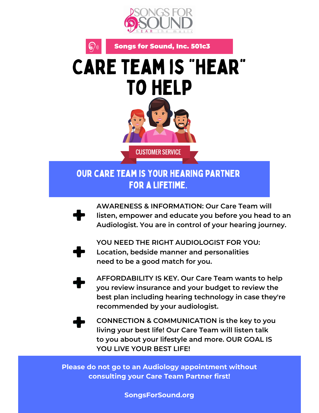

Songs for Sound, Inc. 501c3



## our care team is your hearing partner for a lifetime.

**AWARENESS & INFORMATION: Our Care Team will listen, empower and educate you before you head to an Audiologist. You are in control of your hearing journey.**



 $S(\mathcal{S})$ 

**YOU NEED THE RIGHT AUDIOLOGIST FOR YOU: Location, bedside manner and personalities need to be a good match for you.**

**AFFORDABILITY IS KEY. Our Care Team wants to help you review insurance and your budget to review the best plan including hearing technology in case they're recommended by your audiologist.**

**CONNECTION & COMMUNICATION is the key to you living your best life! Our Care Team will listen talk to you about your lifestyle and more. OUR GOAL IS YOU LIVE YOUR BEST LIFE!**

**Please do not go to an Audiology appointment without consulting your Care Team Partner first!**

**SongsForSound.org**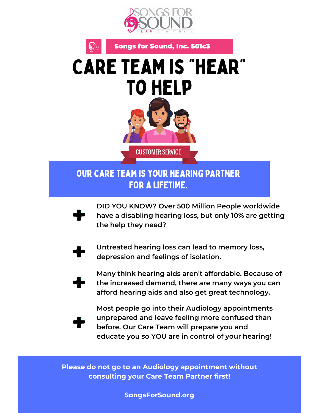

Songs for Sound, Inc. 501c3



## our care team is your hearing partner for a lifetime.

**DID YOU KNOW? Over 500 Million People worldwide have a disabling hearing loss, but only 10% are getting the help they need?**



 $\left( \bigotimes_{j}$ 

**Untreated hearing loss can lead to memory loss, depression and feelings of isolation.**

**Many think hearing aids aren't affordable. Because of the increased demand, there are many ways you can afford hearing aids and also get great technology.**

**Most people go into their Audiology appointments unprepared and leave feeling more confused than before. Our Care Team will prepare you and educate you so YOU are in control of your hearing!**

**Please do not go to an Audiology appointment without consulting your Care Team Partner first!**

**SongsForSound.org**